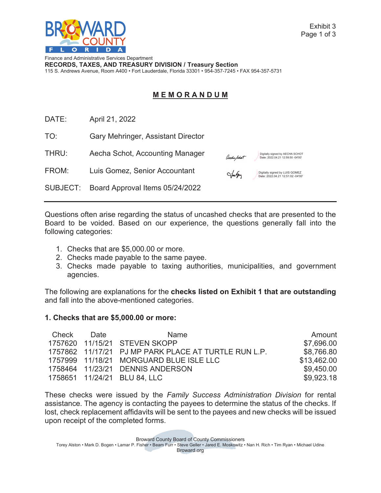

Exhibit 3 Page 1 of 3

Finance and Administrative Services Department **RECORDS, TAXES, AND TREASURY DIVISION / Treasury Section** 115 S. Andrews Avenue, Room A400 • Fort Lauderdale, Florida 33301 • 954-357-7245 • FAX 954-357-5731

# **M E M O R A N D U M**

DATE: April 21, 2022

TO: Gary Mehringer, Assistant Director

THRU: Aecha Schot, Accounting Manager

FROM: Luis Gomez, Senior Accountant

Digitally signed by LUIS GOMEZ<br>-Date: [2022.04.21](https://2022.04.21) 12:51:02 -04'00'

Digitally signed by AECHA SCHOT

SUBJECT: Board Approval Items 05/24/2022

Questions often arise regarding the status of uncashed checks that are presented to the Board to be voided. Based on our experience, the questions generally fall into the following categories:

- 1. Checks that are [\\$5,000.00](https://5,000.00) or more.
- 2. Checks made payable to the same payee.
- 3. Checks made payable to taxing authorities, municipalities, and government agencies.

The following are explanations for the **checks listed on Exhibit 1 that are outstanding**  and fall into the above-mentioned categories.

### **1. Checks that are \$5,000.00 or more:**

| Check | Date: | Name                                                 | Amount      |
|-------|-------|------------------------------------------------------|-------------|
|       |       | 1757620 11/15/21 STEVEN SKOPP                        | \$7,696.00  |
|       |       | 1757862 11/17/21 PJ MP PARK PLACE AT TURTLE RUN L.P. | \$8,766.80  |
|       |       | 1757999 11/18/21 MORGUARD BLUE ISLE LLC              | \$13,462.00 |
|       |       | 1758464 11/23/21 DENNIS ANDERSON                     | \$9,450.00  |
|       |       | 1758651  11/24/21  BLU 84, LLC                       | \$9,923.18  |

These checks were issued by the *Family Success Administration Division* for rental assistance. The agency is contacting the payees to determine the status of the checks. If lost, check replacement affidavits will be sent to the payees and new checks will be issued upon receipt of the completed forms.

Broward County Board of County Commissioners

Torey Alston • Mark D. Bogen • Lamar P. Fisher • Beam Furr • Steve Geller • Jared E. Moskowitz • Nan H. Rich • Tim Ryan • Michael Udine Broward.org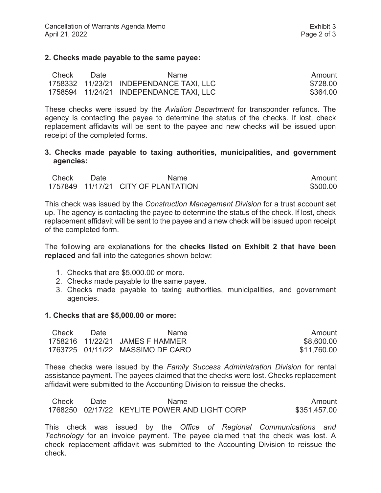#### **2. Checks made payable to the same payee:**

| Check | Date | Name.                                     | Amount   |
|-------|------|-------------------------------------------|----------|
|       |      | 1758332  11/23/21  INDEPENDANCE TAXI, LLC | \$728.00 |
|       |      | 1758594  11/24/21  INDEPENDANCE TAXI, LLC | \$364.00 |

These checks were issued by the *Aviation Department* for transponder refunds. The agency is contacting the payee to determine the status of the checks. If lost, check replacement affidavits will be sent to the payee and new checks will be issued upon receipt of the completed forms.

#### **3. Checks made payable to taxing authorities, municipalities, and government agencies:**

| Check | Date | Name                                | Amount   |
|-------|------|-------------------------------------|----------|
|       |      | 1757849 11/17/21 CITY OF PLANTATION | \$500.00 |

This check was issued by the *Construction Management Division* for a trust account set up. The agency is contacting the payee to determine the status of the check. If lost, check replacement affidavit will be sent to the payee and a new check will be issued upon receipt of the completed form.

The following are explanations for the **checks listed on Exhibit 2 that have been replaced** and fall into the categories shown below:

- 1. Checks that are [\\$5,000.00](https://5,000.00) or more.
- 2. Checks made payable to the same payee.
- 3. Checks made payable to taxing authorities, municipalities, and government agencies.

#### **1. Checks that are \$[5,000.00](https://5,000.00) or more:**

| Check | Date | <b>Name</b>                      | Amount      |
|-------|------|----------------------------------|-------------|
|       |      | 1758216 11/22/21 JAMES F HAMMER  | \$8,600.00  |
|       |      | 1763725 01/11/22 MASSIMO DE CARO | \$11.760.00 |

These checks were issued by the *Family Success Administration Division* for rental assistance payment. The payees claimed that the checks were lost. Checks replacement affidavit were submitted to the Accounting Division to reissue the checks.

| Check | Date | Name.                                         | Amount       |
|-------|------|-----------------------------------------------|--------------|
|       |      | 1768250 02/17/22 KEYLITE POWER AND LIGHT CORP | \$351,457.00 |

This check was issued by the *Office of Regional Communications and Technology* for an invoice payment. The payee claimed that the check was lost. A check replacement affidavit was submitted to the Accounting Division to reissue the check.